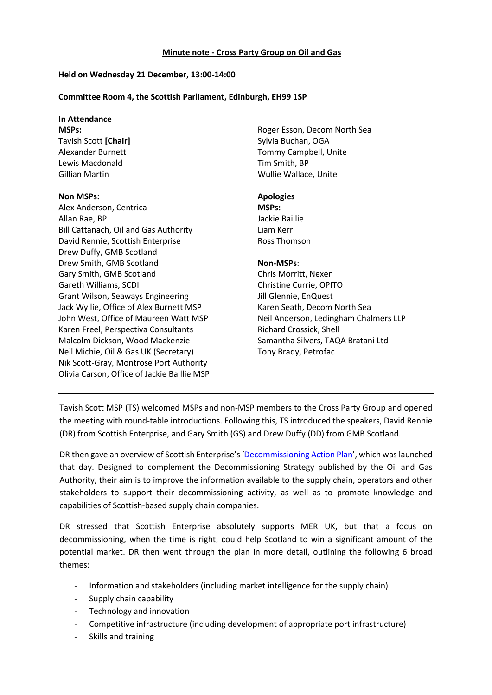#### **Minute note - Cross Party Group on Oil and Gas**

### **Held on Wednesday 21 December, 13:00-14:00**

### **Committee Room 4, the Scottish Parliament, Edinburgh, EH99 1SP**

# **In Attendance**

**MSPs:** Tavish Scott **[Chair]** Alexander Burnett Lewis Macdonald Gillian Martin

#### **Non MSPs:**

Alex Anderson, Centrica Allan Rae, BP Bill Cattanach, Oil and Gas Authority David Rennie, Scottish Enterprise Drew Duffy, GMB Scotland Drew Smith, GMB Scotland Gary Smith, GMB Scotland Gareth Williams, SCDI Grant Wilson, Seaways Engineering Jack Wyllie, Office of Alex Burnett MSP John West, Office of Maureen Watt MSP Karen Freel, Perspectiva Consultants Malcolm Dickson, Wood Mackenzie Neil Michie, Oil & Gas UK (Secretary) Nik Scott-Gray, Montrose Port Authority Olivia Carson, Office of Jackie Baillie MSP Roger Esson, Decom North Sea Sylvia Buchan, OGA Tommy Campbell, Unite Tim Smith, BP Wullie Wallace, Unite

## **Apologies**

**MSPs:** Jackie Baillie Liam Kerr Ross Thomson

## **Non-MSPs**:

Chris Morritt, Nexen Christine Currie, OPITO Jill Glennie, EnQuest Karen Seath, Decom North Sea Neil Anderson, Ledingham Chalmers LLP Richard Crossick, Shell Samantha Silvers, TAQA Bratani Ltd Tony Brady, Petrofac

Tavish Scott MSP (TS) welcomed MSPs and non-MSP members to the Cross Party Group and opened the meeting with round-table introductions. Following this, TS introduced the speakers, David Rennie (DR) from Scottish Enterprise, and Gary Smith (GS) and Drew Duffy (DD) from GMB Scotland.

DR then gave an overview of Scottish Enterprise's '[Decommissioning Action Plan](https://www.scottish-enterprise.com/~/media/se_2013/sectors/documents/se%20decom%20action%20plan%20for%20online%20se_4652_feb17.pdf?la=en)', which was launched that day. Designed to complement the Decommissioning Strategy published by the Oil and Gas Authority, their aim is to improve the information available to the supply chain, operators and other stakeholders to support their decommissioning activity, as well as to promote knowledge and capabilities of Scottish-based supply chain companies.

DR stressed that Scottish Enterprise absolutely supports MER UK, but that a focus on decommissioning, when the time is right, could help Scotland to win a significant amount of the potential market. DR then went through the plan in more detail, outlining the following 6 broad themes:

- Information and stakeholders (including market intelligence for the supply chain)
- Supply chain capability
- Technology and innovation
- Competitive infrastructure (including development of appropriate port infrastructure)
- Skills and training